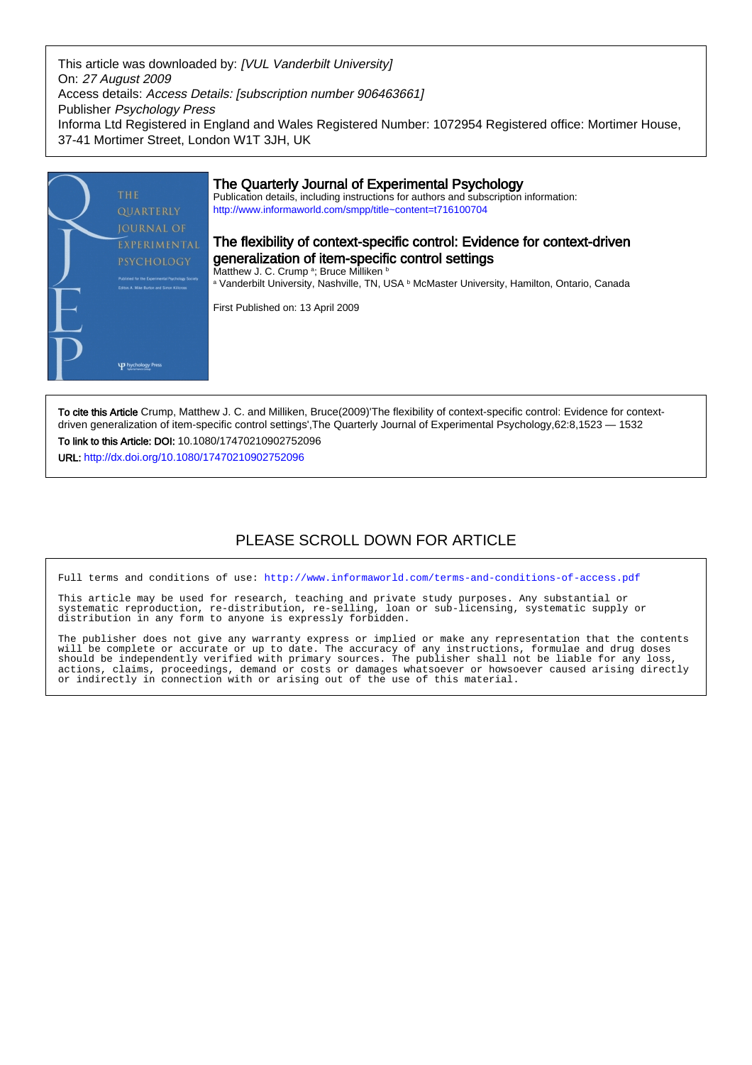This article was downloaded by: [VUL Vanderbilt University] On: 27 August 2009 Access details: Access Details: [subscription number 906463661] Publisher Psychology Press Informa Ltd Registered in England and Wales Registered Number: 1072954 Registered office: Mortimer House, 37-41 Mortimer Street, London W1T 3JH, UK



To cite this Article Crump, Matthew J. C. and Milliken, Bruce(2009)'The flexibility of context-specific control: Evidence for contextdriven generalization of item-specific control settings',The Quarterly Journal of Experimental Psychology,62:8,1523 — 1532 To link to this Article: DOI: 10.1080/17470210902752096

URL: <http://dx.doi.org/10.1080/17470210902752096>

### PLEASE SCROLL DOWN FOR ARTICLE

Full terms and conditions of use:<http://www.informaworld.com/terms-and-conditions-of-access.pdf>

This article may be used for research, teaching and private study purposes. Any substantial or systematic reproduction, re-distribution, re-selling, loan or sub-licensing, systematic supply or distribution in any form to anyone is expressly forbidden.

The publisher does not give any warranty express or implied or make any representation that the contents will be complete or accurate or up to date. The accuracy of any instructions, formulae and drug doses should be independently verified with primary sources. The publisher shall not be liable for any loss, actions, claims, proceedings, demand or costs or damages whatsoever or howsoever caused arising directly or indirectly in connection with or arising out of the use of this material.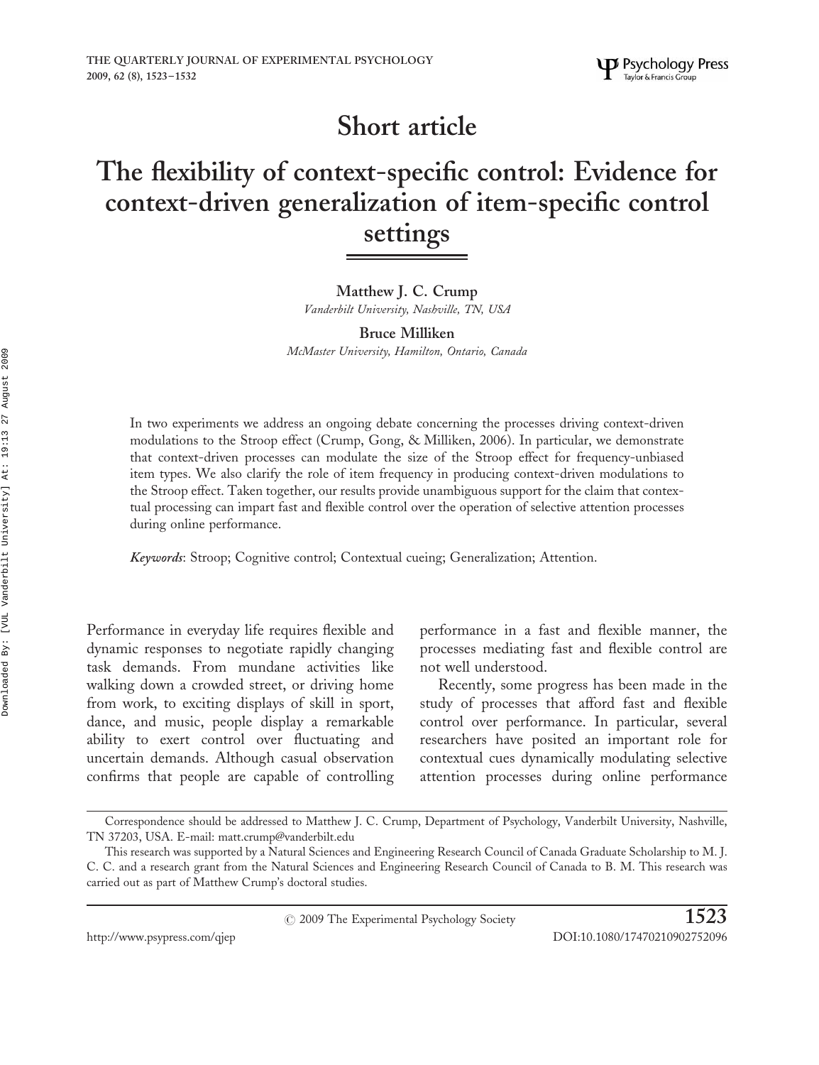## Short article

# The flexibility of context-specific control: Evidence for context-driven generalization of item-specific control settings

Matthew J. C. Crump Vanderbilt University, Nashville, TN, USA

Bruce Milliken McMaster University, Hamilton, Ontario, Canada

In two experiments we address an ongoing debate concerning the processes driving context-driven modulations to the Stroop effect (Crump, Gong, & Milliken, 2006). In particular, we demonstrate that context-driven processes can modulate the size of the Stroop effect for frequency-unbiased item types. We also clarify the role of item frequency in producing context-driven modulations to the Stroop effect. Taken together, our results provide unambiguous support for the claim that contextual processing can impart fast and flexible control over the operation of selective attention processes during online performance.

Keywords: Stroop; Cognitive control; Contextual cueing; Generalization; Attention.

Performance in everyday life requires flexible and dynamic responses to negotiate rapidly changing task demands. From mundane activities like walking down a crowded street, or driving home from work, to exciting displays of skill in sport, dance, and music, people display a remarkable ability to exert control over fluctuating and uncertain demands. Although casual observation confirms that people are capable of controlling

performance in a fast and flexible manner, the processes mediating fast and flexible control are not well understood.

Recently, some progress has been made in the study of processes that afford fast and flexible control over performance. In particular, several researchers have posited an important role for contextual cues dynamically modulating selective attention processes during online performance

Correspondence should be addressed to Matthew J. C. Crump, Department of Psychology, Vanderbilt University, Nashville, TN 37203, USA. E-mail: matt.crump@vanderbilt.edu

This research was supported by a Natural Sciences and Engineering Research Council of Canada Graduate Scholarship to M. J. C. C. and a research grant from the Natural Sciences and Engineering Research Council of Canada to B. M. This research was carried out as part of Matthew Crump's doctoral studies.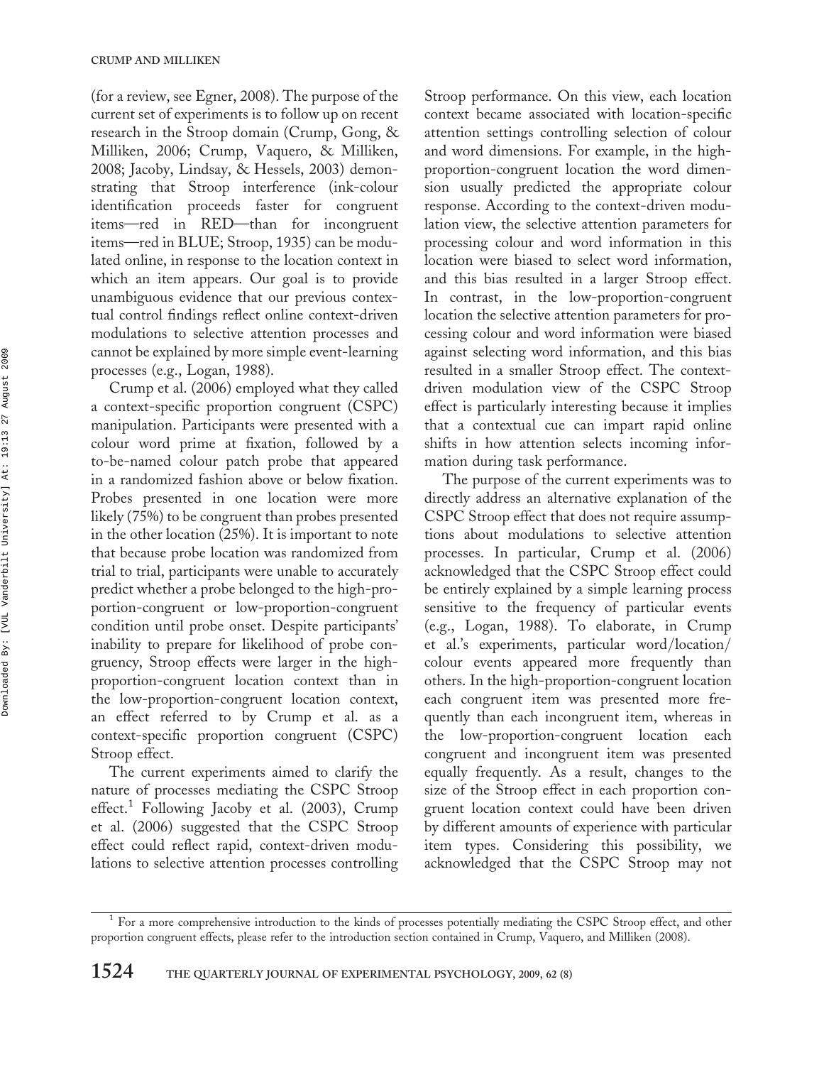(for a review, see Egner, 2008). The purpose of the current set of experiments is to follow up on recent research in the Stroop domain (Crump, Gong, & Milliken, 2006; Crump, Vaquero, & Milliken, 2008; Jacoby, Lindsay, & Hessels, 2003) demonstrating that Stroop interference (ink-colour identification proceeds faster for congruent items—red in RED—than for incongruent items—red in BLUE; Stroop, 1935) can be modulated online, in response to the location context in which an item appears. Our goal is to provide unambiguous evidence that our previous contextual control findings reflect online context-driven modulations to selective attention processes and cannot be explained by more simple event-learning processes (e.g., Logan, 1988).

Crump et al. (2006) employed what they called a context-specific proportion congruent (CSPC) manipulation. Participants were presented with a colour word prime at fixation, followed by a to-be-named colour patch probe that appeared in a randomized fashion above or below fixation. Probes presented in one location were more likely (75%) to be congruent than probes presented in the other location (25%). It is important to note that because probe location was randomized from trial to trial, participants were unable to accurately predict whether a probe belonged to the high-proportion-congruent or low-proportion-congruent condition until probe onset. Despite participants' inability to prepare for likelihood of probe congruency, Stroop effects were larger in the highproportion-congruent location context than in the low-proportion-congruent location context, an effect referred to by Crump et al. as a context-specific proportion congruent (CSPC) Stroop effect.

The current experiments aimed to clarify the nature of processes mediating the CSPC Stroop effect.<sup>1</sup> Following Jacoby et al. (2003), Crump et al. (2006) suggested that the CSPC Stroop effect could reflect rapid, context-driven modulations to selective attention processes controlling

Stroop performance. On this view, each location context became associated with location-specific attention settings controlling selection of colour and word dimensions. For example, in the highproportion-congruent location the word dimension usually predicted the appropriate colour response. According to the context-driven modulation view, the selective attention parameters for processing colour and word information in this location were biased to select word information, and this bias resulted in a larger Stroop effect. In contrast, in the low-proportion-congruent location the selective attention parameters for processing colour and word information were biased against selecting word information, and this bias resulted in a smaller Stroop effect. The contextdriven modulation view of the CSPC Stroop effect is particularly interesting because it implies that a contextual cue can impart rapid online shifts in how attention selects incoming information during task performance.

The purpose of the current experiments was to directly address an alternative explanation of the CSPC Stroop effect that does not require assumptions about modulations to selective attention processes. In particular, Crump et al. (2006) acknowledged that the CSPC Stroop effect could be entirely explained by a simple learning process sensitive to the frequency of particular events (e.g., Logan, 1988). To elaborate, in Crump et al.'s experiments, particular word/location/ colour events appeared more frequently than others. In the high-proportion-congruent location each congruent item was presented more frequently than each incongruent item, whereas in the low-proportion-congruent location each congruent and incongruent item was presented equally frequently. As a result, changes to the size of the Stroop effect in each proportion congruent location context could have been driven by different amounts of experience with particular item types. Considering this possibility, we acknowledged that the CSPC Stroop may not

<sup>&</sup>lt;sup>1</sup> For a more comprehensive introduction to the kinds of processes potentially mediating the CSPC Stroop effect, and other proportion congruent effects, please refer to the introduction section contained in Crump, Vaquero, and Milliken (2008).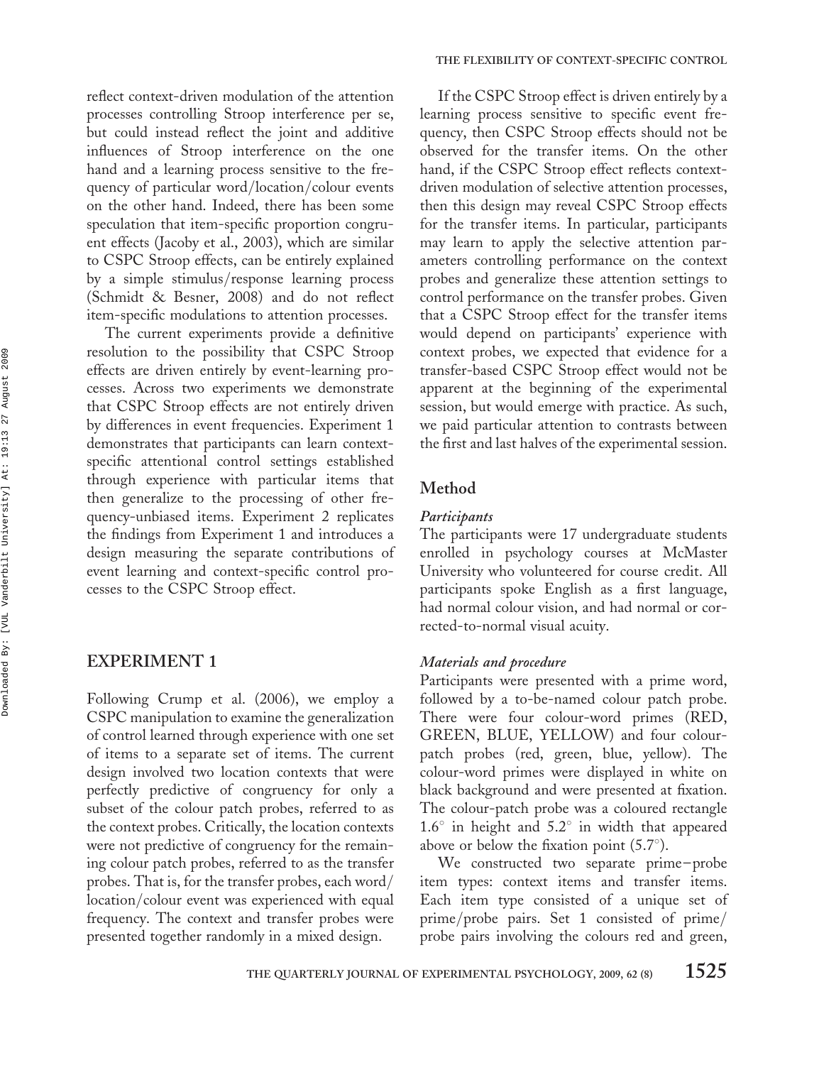reflect context-driven modulation of the attention processes controlling Stroop interference per se, but could instead reflect the joint and additive influences of Stroop interference on the one hand and a learning process sensitive to the frequency of particular word/location/colour events on the other hand. Indeed, there has been some speculation that item-specific proportion congruent effects (Jacoby et al., 2003), which are similar to CSPC Stroop effects, can be entirely explained by a simple stimulus/response learning process (Schmidt & Besner, 2008) and do not reflect item-specific modulations to attention processes.

The current experiments provide a definitive resolution to the possibility that CSPC Stroop effects are driven entirely by event-learning processes. Across two experiments we demonstrate that CSPC Stroop effects are not entirely driven by differences in event frequencies. Experiment 1 demonstrates that participants can learn contextspecific attentional control settings established through experience with particular items that then generalize to the processing of other frequency-unbiased items. Experiment 2 replicates the findings from Experiment 1 and introduces a design measuring the separate contributions of event learning and context-specific control processes to the CSPC Stroop effect.

#### EXPERIMENT 1

Following Crump et al. (2006), we employ a CSPC manipulation to examine the generalization of control learned through experience with one set of items to a separate set of items. The current design involved two location contexts that were perfectly predictive of congruency for only a subset of the colour patch probes, referred to as the context probes. Critically, the location contexts were not predictive of congruency for the remaining colour patch probes, referred to as the transfer probes. That is, for the transfer probes, each word/ location/colour event was experienced with equal frequency. The context and transfer probes were presented together randomly in a mixed design.

If the CSPC Stroop effect is driven entirely by a learning process sensitive to specific event frequency, then CSPC Stroop effects should not be observed for the transfer items. On the other hand, if the CSPC Stroop effect reflects contextdriven modulation of selective attention processes, then this design may reveal CSPC Stroop effects for the transfer items. In particular, participants may learn to apply the selective attention parameters controlling performance on the context probes and generalize these attention settings to control performance on the transfer probes. Given that a CSPC Stroop effect for the transfer items would depend on participants' experience with context probes, we expected that evidence for a transfer-based CSPC Stroop effect would not be apparent at the beginning of the experimental session, but would emerge with practice. As such, we paid particular attention to contrasts between the first and last halves of the experimental session.

#### Method

#### Participants

The participants were 17 undergraduate students enrolled in psychology courses at McMaster University who volunteered for course credit. All participants spoke English as a first language, had normal colour vision, and had normal or corrected-to-normal visual acuity.

#### Materials and procedure

Participants were presented with a prime word, followed by a to-be-named colour patch probe. There were four colour-word primes (RED, GREEN, BLUE, YELLOW) and four colourpatch probes (red, green, blue, yellow). The colour-word primes were displayed in white on black background and were presented at fixation. The colour-patch probe was a coloured rectangle  $1.6^\circ$  in height and  $5.2^\circ$  in width that appeared above or below the fixation point  $(5.7^{\circ})$ .

We constructed two separate prime-probe item types: context items and transfer items. Each item type consisted of a unique set of prime/probe pairs. Set 1 consisted of prime/ probe pairs involving the colours red and green,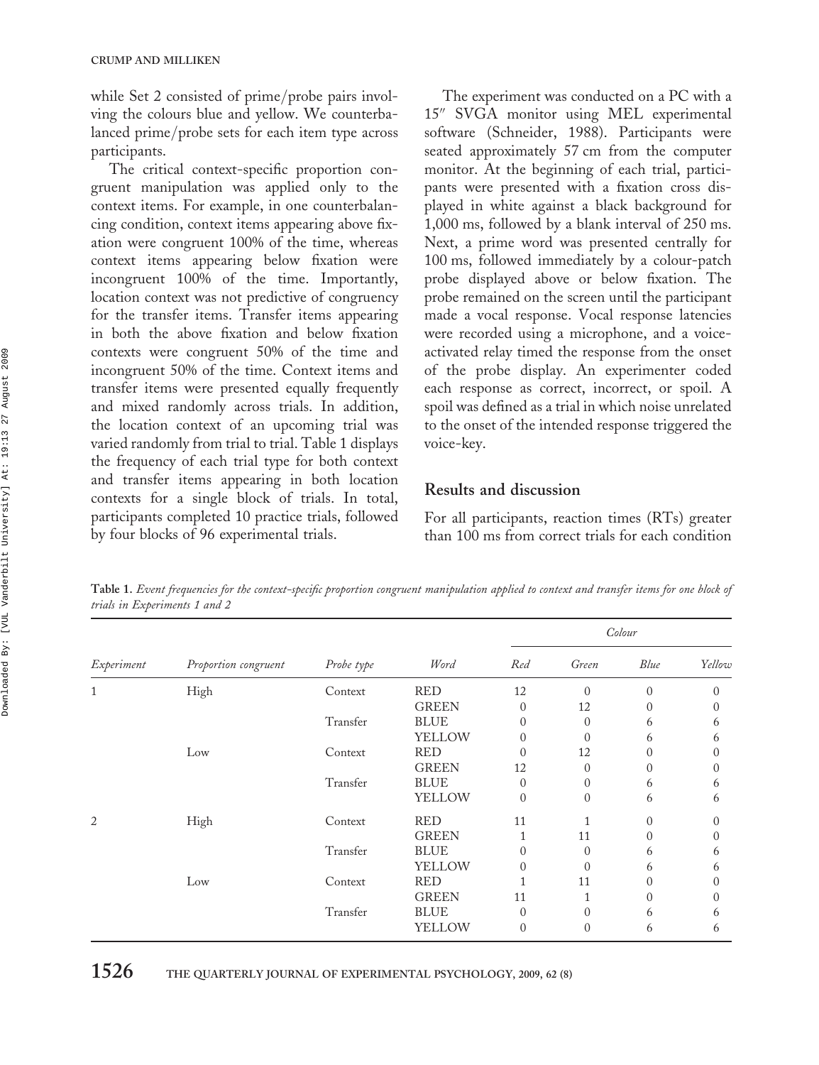while Set 2 consisted of prime/probe pairs involving the colours blue and yellow. We counterbalanced prime/probe sets for each item type across participants.

The critical context-specific proportion congruent manipulation was applied only to the context items. For example, in one counterbalancing condition, context items appearing above fixation were congruent 100% of the time, whereas context items appearing below fixation were incongruent 100% of the time. Importantly, location context was not predictive of congruency for the transfer items. Transfer items appearing in both the above fixation and below fixation contexts were congruent 50% of the time and incongruent 50% of the time. Context items and transfer items were presented equally frequently and mixed randomly across trials. In addition, the location context of an upcoming trial was varied randomly from trial to trial. Table 1 displays the frequency of each trial type for both context and transfer items appearing in both location contexts for a single block of trials. In total, participants completed 10 practice trials, followed by four blocks of 96 experimental trials.

The experiment was conducted on a PC with a 15" SVGA monitor using MEL experimental software (Schneider, 1988). Participants were seated approximately 57 cm from the computer monitor. At the beginning of each trial, participants were presented with a fixation cross displayed in white against a black background for 1,000 ms, followed by a blank interval of 250 ms. Next, a prime word was presented centrally for 100 ms, followed immediately by a colour-patch probe displayed above or below fixation. The probe remained on the screen until the participant made a vocal response. Vocal response latencies were recorded using a microphone, and a voiceactivated relay timed the response from the onset of the probe display. An experimenter coded each response as correct, incorrect, or spoil. A spoil was defined as a trial in which noise unrelated to the onset of the intended response triggered the voice-key.

#### Results and discussion

For all participants, reaction times (RTs) greater than 100 ms from correct trials for each condition

Table 1. Event frequencies for the context-specific proportion congruent manipulation applied to context and transfer items for one block of trials in Experiments 1 and 2

| Experiment     |                      |            |               | Colour       |              |                  |          |  |  |
|----------------|----------------------|------------|---------------|--------------|--------------|------------------|----------|--|--|
|                | Proportion congruent | Probe type | Word          | Red          | Green        | Blue             | Yellow   |  |  |
|                | High                 | Context    | <b>RED</b>    | 12           | $\theta$     | $\theta$         | $\Omega$ |  |  |
|                |                      |            | <b>GREEN</b>  | $\theta$     | 12           | 0                |          |  |  |
|                |                      | Transfer   | <b>BLUE</b>   | $\mathbf{0}$ | $\theta$     | 6                | 6        |  |  |
|                |                      |            | <b>YELLOW</b> | 0            | $\theta$     | 6                | 6        |  |  |
|                | Low                  | Context    | <b>RED</b>    | $\Omega$     | 12           | $\theta$         | 0        |  |  |
|                |                      |            | <b>GREEN</b>  | 12           | $\theta$     | $\left( \right)$ |          |  |  |
|                |                      | Transfer   | <b>BLUE</b>   | $\theta$     | 0            | 6                | 6        |  |  |
|                |                      |            | YELLOW        | $\mathbf{0}$ | $\mathbf{0}$ | 6                | 6        |  |  |
| $\overline{c}$ | High                 | Context    | <b>RED</b>    | 11           |              | 0                | 0        |  |  |
|                |                      |            | <b>GREEN</b>  | 1            | 11           | 0                |          |  |  |
|                |                      | Transfer   | <b>BLUE</b>   | $\mathbf{0}$ | $\Omega$     | 6                | 6        |  |  |
|                |                      |            | YELLOW        | $\mathbf{0}$ | $\theta$     | 6                | 6        |  |  |
|                | Low                  | Context    | <b>RED</b>    |              | 11           | $\theta$         | 0        |  |  |
|                |                      |            | <b>GREEN</b>  | 11           | $\mathbf{1}$ | 0                |          |  |  |
|                |                      | Transfer   | <b>BLUE</b>   | $\mathbf{0}$ | $\Omega$     | 6                | 6        |  |  |
|                |                      |            | YELLOW        | $\mathbf{0}$ | $\theta$     | 6                | 6        |  |  |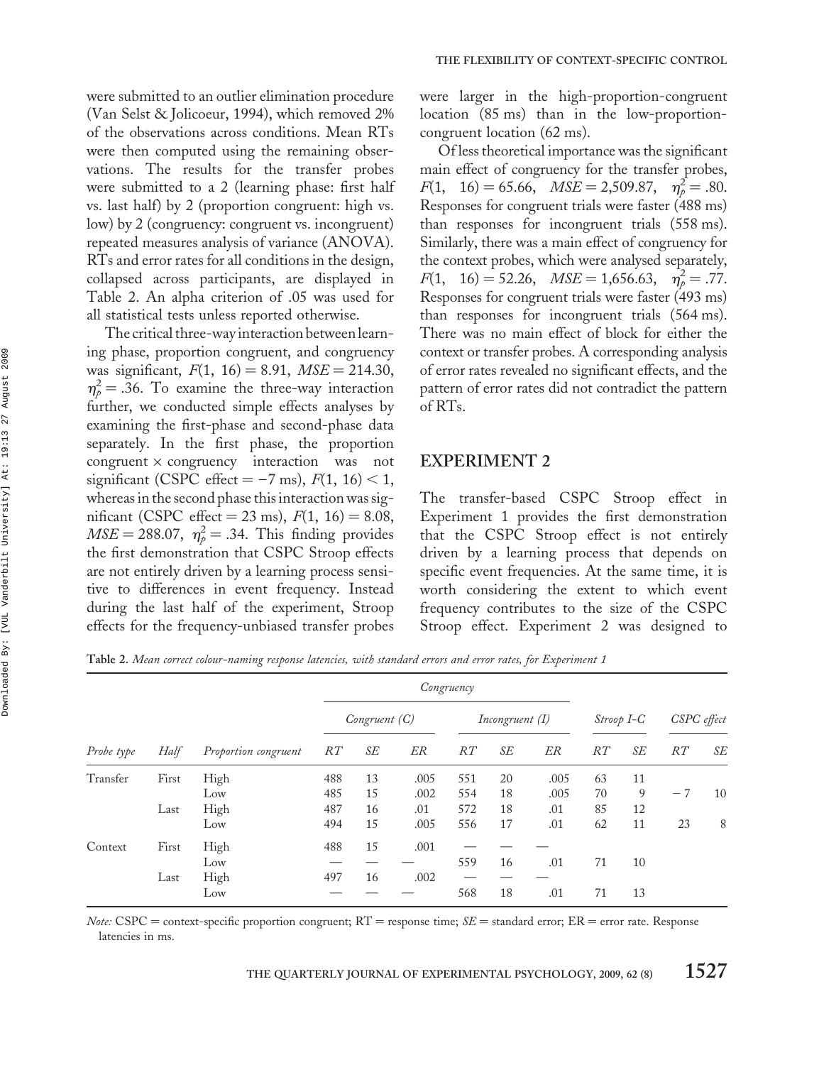were submitted to an outlier elimination procedure (Van Selst & Jolicoeur, 1994), which removed 2% of the observations across conditions. Mean RTs were then computed using the remaining observations. The results for the transfer probes were submitted to a 2 (learning phase: first half vs. last half) by 2 (proportion congruent: high vs. low) by 2 (congruency: congruent vs. incongruent) repeated measures analysis of variance (ANOVA). RTs and error rates for all conditions in the design, collapsed across participants, are displayed in Table 2. An alpha criterion of .05 was used for all statistical tests unless reported otherwise.

The critical three-wayinteraction between learning phase, proportion congruent, and congruency was significant,  $F(1, 16) = 8.91, MSE = 214.30,$  $\eta_p^2 = .36$ . To examine the three-way interaction further, we conducted simple effects analyses by examining the first-phase and second-phase data separately. In the first phase, the proportion congruent  $\times$  congruency interaction was not significant (CSPC effect =  $-7$  ms),  $F(1, 16) < 1$ , whereas in the second phase this interaction was significant (CSPC effect = 23 ms),  $F(1, 16) = 8.08$ ,  $MSE = 288.07$ ,  $\eta_p^2 = .34$ . This finding provides the first demonstration that CSPC Stroop effects are not entirely driven by a learning process sensitive to differences in event frequency. Instead during the last half of the experiment, Stroop effects for the frequency-unbiased transfer probes

were larger in the high-proportion-congruent location (85 ms) than in the low-proportioncongruent location (62 ms).

Of less theoretical importance was the significant main effect of congruency for the transfer probes,  $F(1, 16) = 65.66, \quad MSE = 2,509.87, \quad \eta_{p}^{2} = .80.$ Responses for congruent trials were faster (488 ms) than responses for incongruent trials (558 ms). Similarly, there was a main effect of congruency for the context probes, which were analysed separately,  $F(1, 16) = 52.26, \quad MSE = 1,656.63, \quad \eta_p^2 = .77.$ Responses for congruent trials were faster (493 ms) than responses for incongruent trials (564 ms). There was no main effect of block for either the context or transfer probes. A corresponding analysis of error rates revealed no significant effects, and the pattern of error rates did not contradict the pattern of RTs.

#### EXPERIMENT 2

The transfer-based CSPC Stroop effect in Experiment 1 provides the first demonstration that the CSPC Stroop effect is not entirely driven by a learning process that depends on specific event frequencies. At the same time, it is worth considering the extent to which event frequency contributes to the size of the CSPC Stroop effect. Experiment 2 was designed to

Table 2. Mean correct colour-naming response latencies, with standard errors and error rates, for Experiment 1

| Probe type | Half  | Proportion congruent | Congruency    |    |      |                 |    |      |            |           |             |    |
|------------|-------|----------------------|---------------|----|------|-----------------|----|------|------------|-----------|-------------|----|
|            |       |                      | Congruent (C) |    |      | Incongruent (I) |    |      | Stroop I-C |           | CSPC effect |    |
|            |       |                      | RT            | SE | ER   | RT              | SE | ER   | RT         | <b>SE</b> | RT          | SE |
| Transfer   | First | High                 | 488           | 13 | .005 | 551             | 20 | .005 | 63         | 11        |             |    |
|            |       | Low                  | 485           | 15 | .002 | 554             | 18 | .005 | 70         | 9         | $-7$        | 10 |
|            | Last  | High                 | 487           | 16 | .01  | 572             | 18 | .01  | 85         | 12        |             |    |
|            |       | Low                  | 494           | 15 | .005 | 556             | 17 | .01  | 62         | 11        | 23          | 8  |
| Context    | First | High                 | 488           | 15 | .001 |                 |    |      |            |           |             |    |
|            |       | Low                  |               |    |      | 559             | 16 | .01  | 71         | 10        |             |    |
|            | Last  | High                 | 497           | 16 | .002 |                 |    |      |            |           |             |    |
|            |       | Low                  |               |    |      | 568             | 18 | .01  | 71         | 13        |             |    |

*Note:* CSPC = context-specific proportion congruent;  $RT$  = response time;  $SE$  = standard error;  $ER$  = error rate. Response latencies in ms.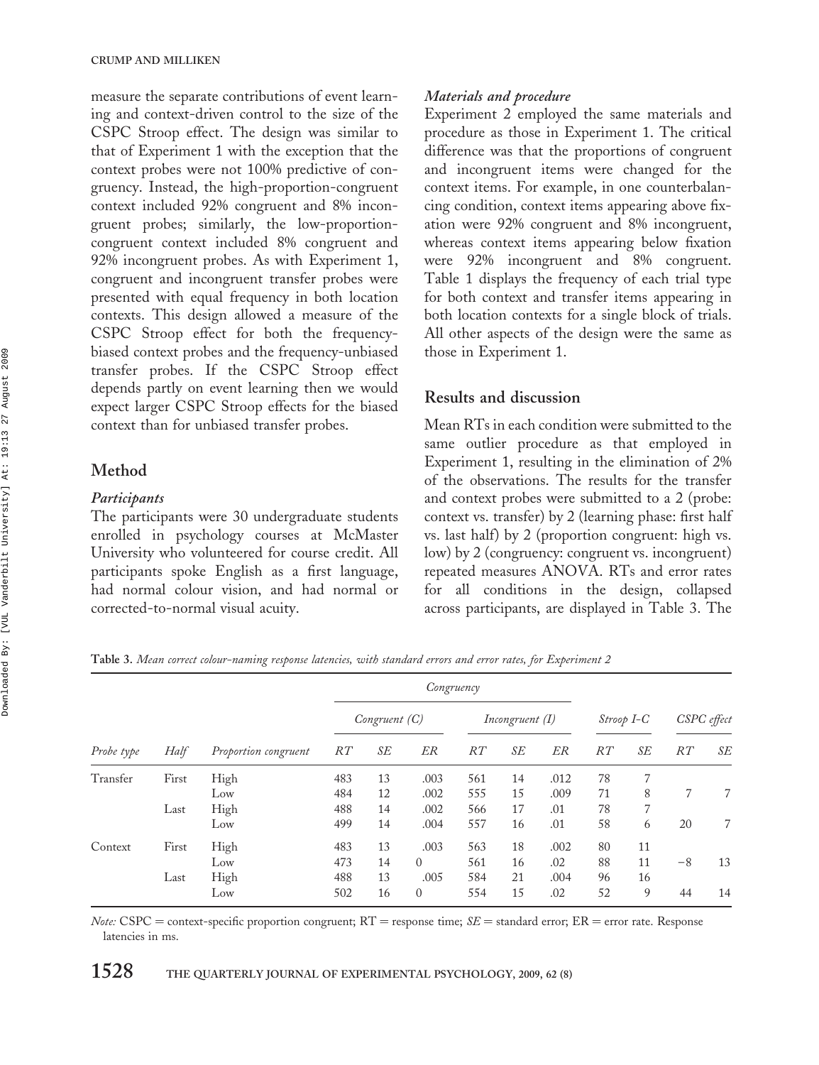measure the separate contributions of event learning and context-driven control to the size of the CSPC Stroop effect. The design was similar to that of Experiment 1 with the exception that the context probes were not 100% predictive of congruency. Instead, the high-proportion-congruent context included 92% congruent and 8% incongruent probes; similarly, the low-proportioncongruent context included 8% congruent and 92% incongruent probes. As with Experiment 1, congruent and incongruent transfer probes were presented with equal frequency in both location contexts. This design allowed a measure of the CSPC Stroop effect for both the frequencybiased context probes and the frequency-unbiased transfer probes. If the CSPC Stroop effect depends partly on event learning then we would expect larger CSPC Stroop effects for the biased context than for unbiased transfer probes.

#### Method

#### **Participants**

The participants were 30 undergraduate students enrolled in psychology courses at McMaster University who volunteered for course credit. All participants spoke English as a first language, had normal colour vision, and had normal or corrected-to-normal visual acuity.

#### Materials and procedure

Experiment 2 employed the same materials and procedure as those in Experiment 1. The critical difference was that the proportions of congruent and incongruent items were changed for the context items. For example, in one counterbalancing condition, context items appearing above fixation were 92% congruent and 8% incongruent, whereas context items appearing below fixation were 92% incongruent and 8% congruent. Table 1 displays the frequency of each trial type for both context and transfer items appearing in both location contexts for a single block of trials. All other aspects of the design were the same as those in Experiment 1.

#### Results and discussion

Mean RTs in each condition were submitted to the same outlier procedure as that employed in Experiment 1, resulting in the elimination of 2% of the observations. The results for the transfer and context probes were submitted to a 2 (probe: context vs. transfer) by 2 (learning phase: first half vs. last half) by 2 (proportion congruent: high vs. low) by 2 (congruency: congruent vs. incongruent) repeated measures ANOVA. RTs and error rates for all conditions in the design, collapsed across participants, are displayed in Table 3. The

Table 3. Mean correct colour-naming response latencies, with standard errors and error rates, for Experiment 2

| Probe type | Half  | Proportion congruent | Congruency      |    |                |                 |    |      |            |    |             |                |
|------------|-------|----------------------|-----------------|----|----------------|-----------------|----|------|------------|----|-------------|----------------|
|            |       |                      | Congruent $(C)$ |    |                | Incongruent (I) |    |      | Stroop I-C |    | CSPC effect |                |
|            |       |                      | RT              | SE | ER             | RT              | SE | ER   | RT         | SE | RT          | SE             |
| Transfer   | First | High                 | 483             | 13 | .003           | 561             | 14 | .012 | 78         | 7  |             |                |
|            |       | Low                  | 484             | 12 | .002           | 555             | 15 | .009 | 71         | 8  | 7           | 7              |
|            | Last  | High                 | 488             | 14 | .002           | 566             | 17 | .01  | 78         | 7  |             |                |
|            |       | Low                  | 499             | 14 | .004           | 557             | 16 | .01  | 58         | 6  | 20          | $\overline{7}$ |
| Context    | First | High                 | 483             | 13 | .003           | 563             | 18 | .002 | 80         | 11 |             |                |
|            |       | Low                  | 473             | 14 | $\overline{0}$ | 561             | 16 | .02  | 88         | 11 | $-8$        | 13             |
|            | Last  | High                 | 488             | 13 | .005           | 584             | 21 | .004 | 96         | 16 |             |                |
|            |       | Low                  | 502             | 16 | $\overline{0}$ | 554             | 15 | .02  | 52         | 9  | 44          | 14             |

Note: CSPC = context-specific proportion congruent;  $RT$  = response time;  $SE$  = standard error;  $ER$  = error rate. Response latencies in ms.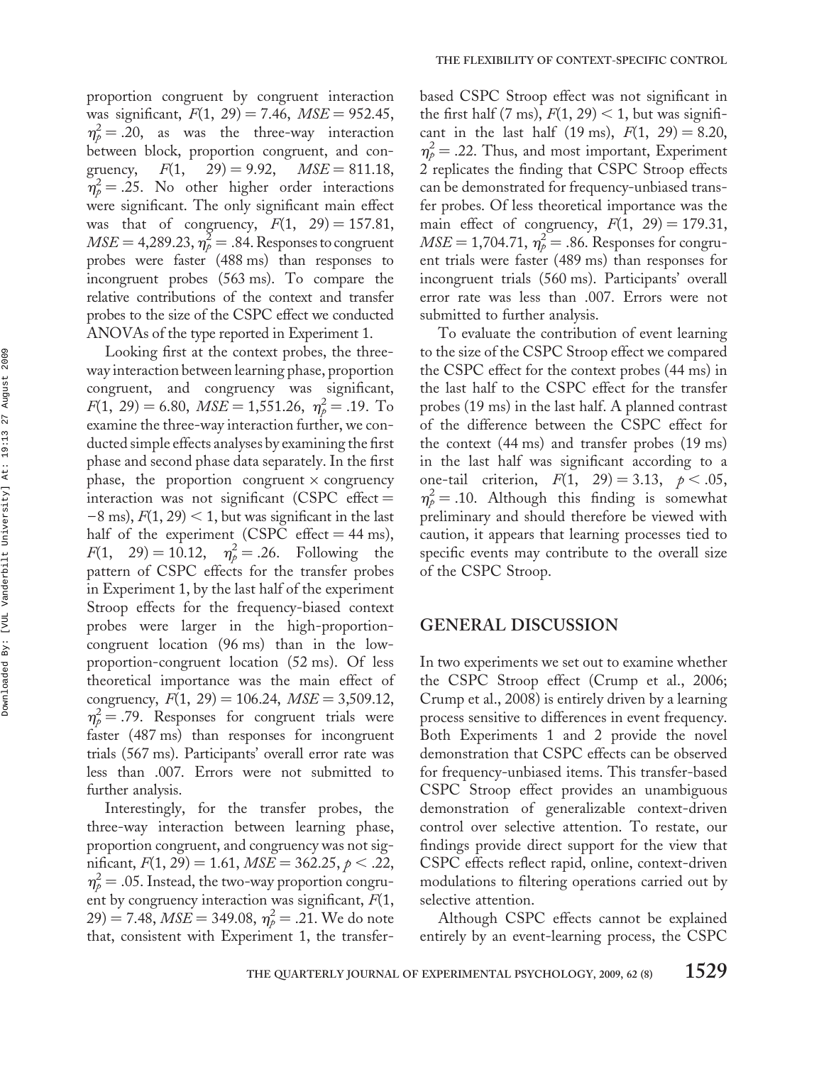proportion congruent by congruent interaction was significant,  $F(1, 29) = 7.46$ ,  $MSE = 952.45$ ,  $\eta_p^2 = .20$ , as was the three-way interaction between block, proportion congruent, and congruency,  $F(1, 29) = 9.92$ ,  $MSE = 811.18$ ,  $\overline{\eta}_p^2 = .25$ . No other higher order interactions were significant. The only significant main effect was that of congruency,  $F(1, 29) = 157.81$ ,  $MSE = 4{,}289.23,\eta_{\rho}^2 = .84.$  Responses to congruent probes were faster (488 ms) than responses to incongruent probes (563 ms). To compare the relative contributions of the context and transfer probes to the size of the CSPC effect we conducted ANOVAs of the type reported in Experiment 1.

Looking first at the context probes, the threeway interaction between learning phase, proportion congruent, and congruency was significant,  $F(1, 29) = 6.80, \; MSE = 1,551.26, \; \eta_p^2 = .19. \; To$ examine the three-way interaction further, we conducted simple effects analyses by examining the first phase and second phase data separately. In the first phase, the proportion congruent  $\times$  congruency interaction was not significant (CSPC effect  $=$  $-8$  ms),  $F(1, 29)$  < 1, but was significant in the last half of the experiment (CSPC effect  $=$  44 ms),  $F(1, 29) = 10.12, \quad \eta_{p}^{2} = .26.$  Following the pattern of CSPC effects for the transfer probes in Experiment 1, by the last half of the experiment Stroop effects for the frequency-biased context probes were larger in the high-proportioncongruent location (96 ms) than in the lowproportion-congruent location (52 ms). Of less theoretical importance was the main effect of congruency,  $F(1, 29) = 106.24$ ,  $MSE = 3,509.12$ ,  $\eta_p^2 = .79$ . Responses for congruent trials were faster (487 ms) than responses for incongruent trials (567 ms). Participants' overall error rate was less than .007. Errors were not submitted to further analysis.

Interestingly, for the transfer probes, the three-way interaction between learning phase, proportion congruent, and congruency was not significant,  $F(1, 29) = 1.61$ ,  $MSE = 362.25$ ,  $p < .22$ ,  $\eta_p^2 = .05$ . Instead, the two-way proportion congruent by congruency interaction was significant,  $F(1,$ 29) = 7.48,  $MSE = 349.08$ ,  $\eta_p^2 = .21$ . We do note that, consistent with Experiment 1, the transferbased CSPC Stroop effect was not significant in the first half (7 ms),  $F(1, 29) < 1$ , but was significant in the last half (19 ms),  $F(1, 29) = 8.20$ ,  $\eta_p^2 = .22$ . Thus, and most important, Experiment 2 replicates the finding that CSPC Stroop effects can be demonstrated for frequency-unbiased transfer probes. Of less theoretical importance was the main effect of congruency,  $F(1, 29) = 179.31$ ,  $MSE = 1{,}704.71, \, \eta_p^2 = .86.$  Responses for congruent trials were faster (489 ms) than responses for incongruent trials (560 ms). Participants' overall error rate was less than .007. Errors were not submitted to further analysis.

To evaluate the contribution of event learning to the size of the CSPC Stroop effect we compared the CSPC effect for the context probes (44 ms) in the last half to the CSPC effect for the transfer probes (19 ms) in the last half. A planned contrast of the difference between the CSPC effect for the context (44 ms) and transfer probes (19 ms) in the last half was significant according to a one-tail criterion,  $F(1, 29) = 3.13, \, p < .05,$  $\eta_p^2 = .10$ . Although this finding is somewhat preliminary and should therefore be viewed with caution, it appears that learning processes tied to specific events may contribute to the overall size of the CSPC Stroop.

#### GENERAL DISCUSSION

In two experiments we set out to examine whether the CSPC Stroop effect (Crump et al., 2006; Crump et al., 2008) is entirely driven by a learning process sensitive to differences in event frequency. Both Experiments 1 and 2 provide the novel demonstration that CSPC effects can be observed for frequency-unbiased items. This transfer-based CSPC Stroop effect provides an unambiguous demonstration of generalizable context-driven control over selective attention. To restate, our findings provide direct support for the view that CSPC effects reflect rapid, online, context-driven modulations to filtering operations carried out by selective attention.

Although CSPC effects cannot be explained entirely by an event-learning process, the CSPC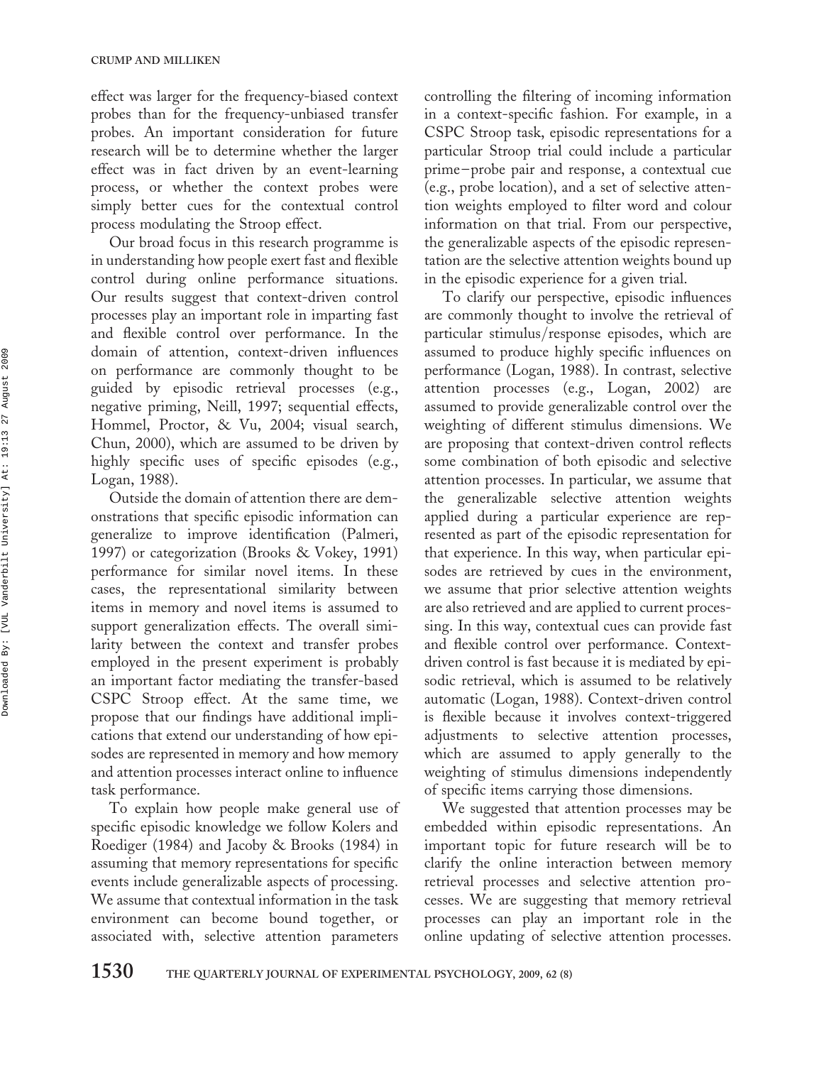effect was larger for the frequency-biased context probes than for the frequency-unbiased transfer probes. An important consideration for future research will be to determine whether the larger effect was in fact driven by an event-learning process, or whether the context probes were simply better cues for the contextual control process modulating the Stroop effect.

Our broad focus in this research programme is in understanding how people exert fast and flexible control during online performance situations. Our results suggest that context-driven control processes play an important role in imparting fast and flexible control over performance. In the domain of attention, context-driven influences on performance are commonly thought to be guided by episodic retrieval processes (e.g., negative priming, Neill, 1997; sequential effects, Hommel, Proctor, & Vu, 2004; visual search, Chun, 2000), which are assumed to be driven by highly specific uses of specific episodes (e.g., Logan, 1988).

Outside the domain of attention there are demonstrations that specific episodic information can generalize to improve identification (Palmeri, 1997) or categorization (Brooks & Vokey, 1991) performance for similar novel items. In these cases, the representational similarity between items in memory and novel items is assumed to support generalization effects. The overall similarity between the context and transfer probes employed in the present experiment is probably an important factor mediating the transfer-based CSPC Stroop effect. At the same time, we propose that our findings have additional implications that extend our understanding of how episodes are represented in memory and how memory and attention processes interact online to influence task performance.

To explain how people make general use of specific episodic knowledge we follow Kolers and Roediger (1984) and Jacoby & Brooks (1984) in assuming that memory representations for specific events include generalizable aspects of processing. We assume that contextual information in the task environment can become bound together, or associated with, selective attention parameters

controlling the filtering of incoming information in a context-specific fashion. For example, in a CSPC Stroop task, episodic representations for a particular Stroop trial could include a particular prime – probe pair and response, a contextual cue (e.g., probe location), and a set of selective attention weights employed to filter word and colour information on that trial. From our perspective, the generalizable aspects of the episodic representation are the selective attention weights bound up in the episodic experience for a given trial.

To clarify our perspective, episodic influences are commonly thought to involve the retrieval of particular stimulus/response episodes, which are assumed to produce highly specific influences on performance (Logan, 1988). In contrast, selective attention processes (e.g., Logan, 2002) are assumed to provide generalizable control over the weighting of different stimulus dimensions. We are proposing that context-driven control reflects some combination of both episodic and selective attention processes. In particular, we assume that the generalizable selective attention weights applied during a particular experience are represented as part of the episodic representation for that experience. In this way, when particular episodes are retrieved by cues in the environment, we assume that prior selective attention weights are also retrieved and are applied to current processing. In this way, contextual cues can provide fast and flexible control over performance. Contextdriven control is fast because it is mediated by episodic retrieval, which is assumed to be relatively automatic (Logan, 1988). Context-driven control is flexible because it involves context-triggered adjustments to selective attention processes, which are assumed to apply generally to the weighting of stimulus dimensions independently of specific items carrying those dimensions.

We suggested that attention processes may be embedded within episodic representations. An important topic for future research will be to clarify the online interaction between memory retrieval processes and selective attention processes. We are suggesting that memory retrieval processes can play an important role in the online updating of selective attention processes.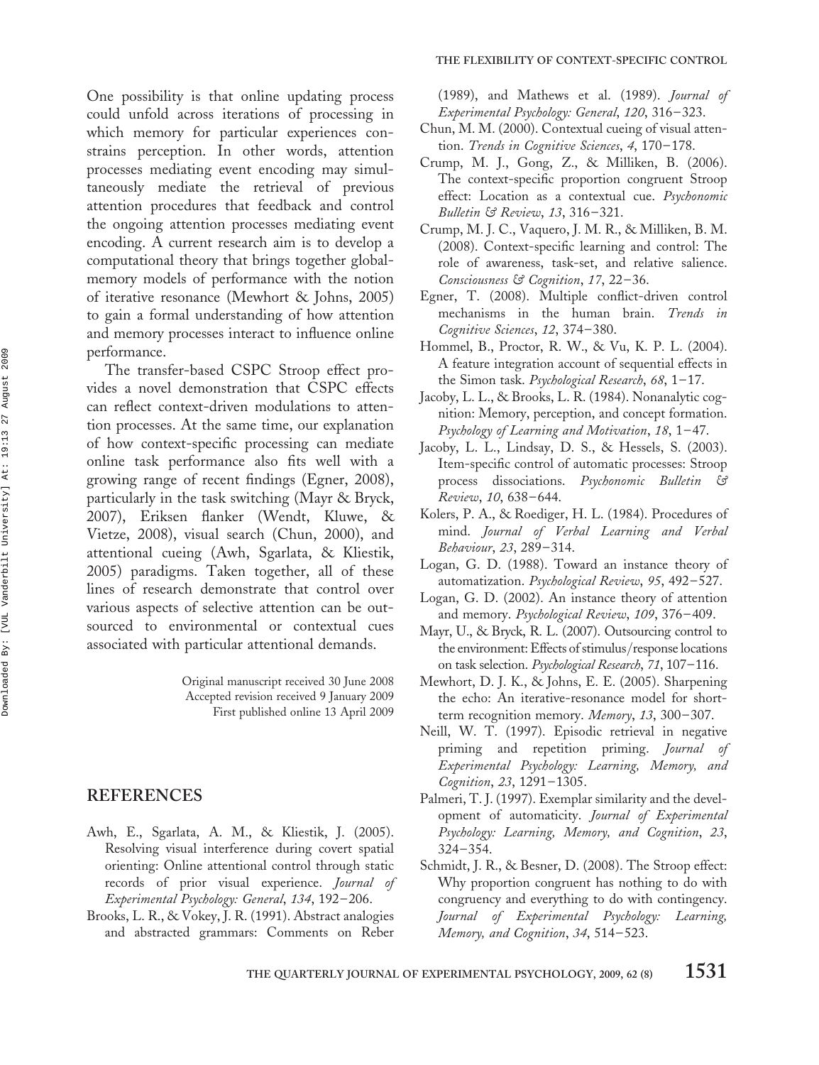One possibility is that online updating process could unfold across iterations of processing in which memory for particular experiences constrains perception. In other words, attention processes mediating event encoding may simultaneously mediate the retrieval of previous attention procedures that feedback and control the ongoing attention processes mediating event encoding. A current research aim is to develop a computational theory that brings together globalmemory models of performance with the notion of iterative resonance (Mewhort & Johns, 2005) to gain a formal understanding of how attention and memory processes interact to influence online performance.

The transfer-based CSPC Stroop effect provides a novel demonstration that CSPC effects can reflect context-driven modulations to attention processes. At the same time, our explanation of how context-specific processing can mediate online task performance also fits well with a growing range of recent findings (Egner, 2008), particularly in the task switching (Mayr & Bryck, 2007), Eriksen flanker (Wendt, Kluwe, & Vietze, 2008), visual search (Chun, 2000), and attentional cueing (Awh, Sgarlata, & Kliestik, 2005) paradigms. Taken together, all of these lines of research demonstrate that control over various aspects of selective attention can be outsourced to environmental or contextual cues associated with particular attentional demands.

> Original manuscript received 30 June 2008 Accepted revision received 9 January 2009 First published online 13 April 2009

#### REFERENCES

- Awh, E., Sgarlata, A. M., & Kliestik, J. (2005). Resolving visual interference during covert spatial orienting: Online attentional control through static records of prior visual experience. Journal of Experimental Psychology: General, 134, 192– 206.
- Brooks, L. R., & Vokey, J. R. (1991). Abstract analogies and abstracted grammars: Comments on Reber

(1989), and Mathews et al. (1989). Journal of Experimental Psychology: General, 120, 316– 323.

- Chun, M. M. (2000). Contextual cueing of visual attention. Trends in Cognitive Sciences, 4, 170-178.
- Crump, M. J., Gong, Z., & Milliken, B. (2006). The context-specific proportion congruent Stroop effect: Location as a contextual cue. Psychonomic Bulletin & Review, 13, 316– 321.
- Crump, M. J. C., Vaquero, J. M. R., & Milliken, B. M. (2008). Context-specific learning and control: The role of awareness, task-set, and relative salience. Consciousness & Cognition, 17, 22 – 36.
- Egner, T. (2008). Multiple conflict-driven control mechanisms in the human brain. Trends in Cognitive Sciences, 12, 374–380.
- Hommel, B., Proctor, R. W., & Vu, K. P. L. (2004). A feature integration account of sequential effects in the Simon task. Psychological Research, 68, 1-17.
- Jacoby, L. L., & Brooks, L. R. (1984). Nonanalytic cognition: Memory, perception, and concept formation. Psychology of Learning and Motivation,  $18, 1-47$ .
- Jacoby, L. L., Lindsay, D. S., & Hessels, S. (2003). Item-specific control of automatic processes: Stroop process dissociations. Psychonomic Bulletin & Review, 10, 638– 644.
- Kolers, P. A., & Roediger, H. L. (1984). Procedures of mind. Journal of Verbal Learning and Verbal Behaviour, 23, 289– 314.
- Logan, G. D. (1988). Toward an instance theory of automatization. Psychological Review, 95, 492-527.
- Logan, G. D. (2002). An instance theory of attention and memory. Psychological Review, 109, 376-409.
- Mayr, U., & Bryck, R. L. (2007). Outsourcing control to the environment: Effects of stimulus/response locations on task selection. Psychological Research, 71, 107–116.
- Mewhort, D. J. K., & Johns, E. E. (2005). Sharpening the echo: An iterative-resonance model for shortterm recognition memory. Memory, 13, 300-307.
- Neill, W. T. (1997). Episodic retrieval in negative priming and repetition priming. Journal of Experimental Psychology: Learning, Memory, and Cognition, 23, 1291–1305.
- Palmeri, T. J. (1997). Exemplar similarity and the development of automaticity. Journal of Experimental Psychology: Learning, Memory, and Cognition, 23, 324– 354.
- Schmidt, J. R., & Besner, D. (2008). The Stroop effect: Why proportion congruent has nothing to do with congruency and everything to do with contingency. Journal of Experimental Psychology: Learning, Memory, and Cognition, 34, 514-523.